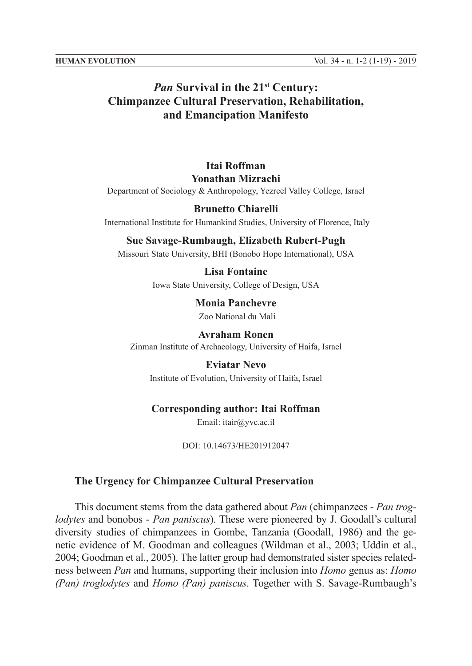# *Pan* **Survival in the 21<sup>st</sup> Century: Chimpanzee Cultural Preservation, Rehabilitation, and Emancipation Manifesto**

# **Itai Roffman Yonathan Mizrachi**

Department of Sociology & Anthropology, Yezreel Valley College, Israel

## **Brunetto Chiarelli**

International Institute for Humankind Studies, University of Florence, Italy

#### **Sue Savage-Rumbaugh, Elizabeth Rubert-Pugh**

Missouri State University, BHI (Bonobo Hope International), USA

# **Lisa Fontaine**

Iowa State University, College of Design, USA

**Monia Panchevre** Zoo National du Mali

**Avraham Ronen** Zinman Institute of Archaeology, University of Haifa, Israel

**Eviatar Nevo** Institute of Evolution, University of Haifa, Israel

## **Corresponding author: Itai Roffman**

Email: itair@yvc.ac.il

DOI: 10.14673/HE201912047

#### **The Urgency for Chimpanzee Cultural Preservation**

This document stems from the data gathered about *Pan* (chimpanzees - *Pan troglodytes* and bonobos - *Pan paniscus*). These were pioneered by J. Goodall's cultural diversity studies of chimpanzees in Gombe, Tanzania (Goodall, 1986) and the genetic evidence of M. Goodman and colleagues (Wildman et al., 2003; Uddin et al., 2004; Goodman et al., 2005). The latter group had demonstrated sister species relatedness between *Pan* and humans, supporting their inclusion into *Homo* genus as: *Homo (Pan) troglodytes* and *Homo (Pan) paniscus*. Together with S. Savage-Rumbaugh's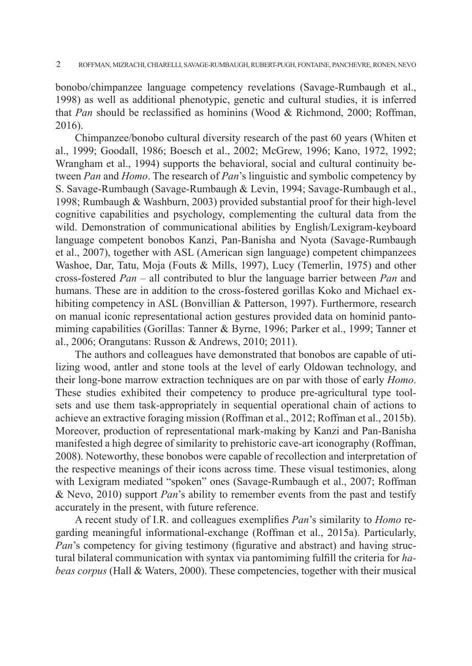bonobo/chimpanzee language competency revelations (Savage-Rumbaugh et al., 1998) as well as additional phenotypic, genetic and cultural studies, it is inferred that *Pan* should be reclassified as hominins (Wood & Richmond, 2000; Roffman, 2016).

Chimpanzee/bonobo cultural diversity research of the past 60 years (Whiten et al., 1999; Goodall, 1986; Boesch et al., 2002; McGrew, 1996; Kano, 1972, 1992; Wrangham et al., 1994) supports the behavioral, social and cultural continuity between *Pan* and *Homo*. The research of *Pan*'s linguistic and symbolic competency by S. Savage-Rumbaugh (Savage-Rumbaugh & Levin, 1994; Savage-Rumbaugh et al., 1998; Rumbaugh & Washburn, 2003) provided substantial proof for their high-level cognitive capabilities and psychology, complementing the cultural data from the wild. Demonstration of communicational abilities by English/Lexigram-keyboard language competent bonobos Kanzi, Pan-Banisha and Nyota (Savage-Rumbaugh et al., 2007), together with ASL (American sign language) competent chimpanzees Washoe, Dar, Tatu, Moja (Fouts & Mills, 1997), Lucy (Temerlin, 1975) and other cross-fostered *Pan* – all contributed to blur the language barrier between *Pan* and humans. These are in addition to the cross-fostered gorillas Koko and Michael exhibiting competency in ASL (Bonvillian & Patterson, 1997). Furthermore, research on manual iconic representational action gestures provided data on hominid pantomiming capabilities (Gorillas: Tanner & Byrne, 1996; Parker et al., 1999; Tanner et al., 2006; Orangutans: Russon & Andrews, 2010; 2011).

The authors and colleagues have demonstrated that bonobos are capable of utilizing wood, antler and stone tools at the level of early Oldowan technology, and their long-bone marrow extraction techniques are on par with those of early *Homo*. These studies exhibited their competency to produce pre-agricultural type toolsets and use them task-appropriately in sequential operational chain of actions to achieve an extractive foraging mission (Roffman et al., 2012; Roffman et al., 2015b). Moreover, production of representational mark-making by Kanzi and Pan-Banisha manifested a high degree of similarity to prehistoric cave-art iconography (Roffman, 2008). Noteworthy, these bonobos were capable of recollection and interpretation of the respective meanings of their icons across time. These visual testimonies, along with Lexigram mediated "spoken" ones (Savage-Rumbaugh et al., 2007; Roffman & Nevo, 2010) support *Pan*'s ability to remember events from the past and testify accurately in the present, with future reference.

A recent study of I.R. and colleagues exemplifies *Pan*'s similarity to *Homo* regarding meaningful informational-exchange (Roffman et al., 2015a). Particularly, *Pan*'s competency for giving testimony (figurative and abstract) and having structural bilateral communication with syntax via pantomiming fulfill the criteria for *habeas corpus* (Hall & Waters, 2000). These competencies, together with their musical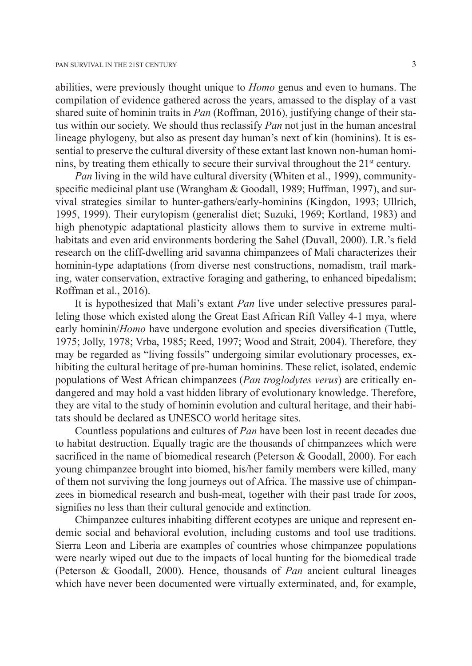abilities, were previously thought unique to *Homo* genus and even to humans. The compilation of evidence gathered across the years, amassed to the display of a vast shared suite of hominin traits in *Pan* (Roffman, 2016), justifying change of their status within our society. We should thus reclassify *Pan* not just in the human ancestral lineage phylogeny, but also as present day human's next of kin (hominins). It is essential to preserve the cultural diversity of these extant last known non-human hominins, by treating them ethically to secure their survival throughout the  $21<sup>st</sup>$  century.

*Pan* living in the wild have cultural diversity (Whiten et al., 1999), communityspecific medicinal plant use (Wrangham & Goodall, 1989; Huffman, 1997), and survival strategies similar to hunter-gathers/early-hominins (Kingdon, 1993; Ullrich, 1995, 1999). Their eurytopism (generalist diet; Suzuki, 1969; Kortland, 1983) and high phenotypic adaptational plasticity allows them to survive in extreme multihabitats and even arid environments bordering the Sahel (Duvall, 2000). I.R.'s field research on the cliff-dwelling arid savanna chimpanzees of Mali characterizes their hominin-type adaptations (from diverse nest constructions, nomadism, trail marking, water conservation, extractive foraging and gathering, to enhanced bipedalism; Roffman et al., 2016).

It is hypothesized that Mali's extant *Pan* live under selective pressures paralleling those which existed along the Great East African Rift Valley 4-1 mya, where early hominin/*Homo* have undergone evolution and species diversification (Tuttle, 1975; Jolly, 1978; Vrba, 1985; Reed, 1997; Wood and Strait, 2004). Therefore, they may be regarded as "living fossils" undergoing similar evolutionary processes, exhibiting the cultural heritage of pre-human hominins. These relict, isolated, endemic populations of West African chimpanzees (*Pan troglodytes verus*) are critically endangered and may hold a vast hidden library of evolutionary knowledge. Therefore, they are vital to the study of hominin evolution and cultural heritage, and their habitats should be declared as UNESCO world heritage sites.

Countless populations and cultures of *Pan* have been lost in recent decades due to habitat destruction. Equally tragic are the thousands of chimpanzees which were sacrificed in the name of biomedical research (Peterson & Goodall, 2000). For each young chimpanzee brought into biomed, his/her family members were killed, many of them not surviving the long journeys out of Africa. The massive use of chimpanzees in biomedical research and bush-meat, together with their past trade for zoos, signifies no less than their cultural genocide and extinction.

Chimpanzee cultures inhabiting different ecotypes are unique and represent endemic social and behavioral evolution, including customs and tool use traditions. Sierra Leon and Liberia are examples of countries whose chimpanzee populations were nearly wiped out due to the impacts of local hunting for the biomedical trade (Peterson & Goodall, 2000). Hence, thousands of *Pan* ancient cultural lineages which have never been documented were virtually exterminated, and, for example,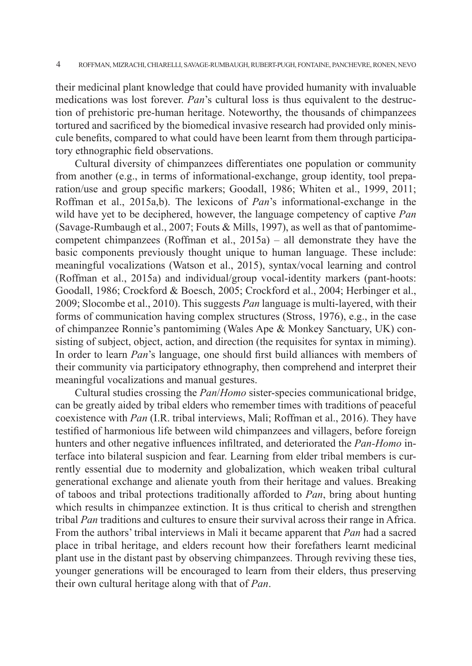their medicinal plant knowledge that could have provided humanity with invaluable medications was lost forever. *Pan*'s cultural loss is thus equivalent to the destruction of prehistoric pre-human heritage. Noteworthy, the thousands of chimpanzees tortured and sacrificed by the biomedical invasive research had provided only miniscule benefits, compared to what could have been learnt from them through participatory ethnographic field observations.

Cultural diversity of chimpanzees differentiates one population or community from another (e.g., in terms of informational-exchange, group identity, tool preparation/use and group specific markers; Goodall, 1986; Whiten et al., 1999, 2011; Roffman et al., 2015a,b). The lexicons of *Pan*'s informational-exchange in the wild have yet to be deciphered, however, the language competency of captive *Pan* (Savage-Rumbaugh et al., 2007; Fouts & Mills, 1997), as well as that of pantomimecompetent chimpanzees (Roffman et al., 2015a) – all demonstrate they have the basic components previously thought unique to human language. These include: meaningful vocalizations (Watson et al., 2015), syntax/vocal learning and control (Roffman et al., 2015a) and individual/group vocal-identity markers (pant-hoots: Goodall, 1986; Crockford & Boesch, 2005; Crockford et al., 2004; Herbinger et al., 2009; Slocombe et al., 2010). This suggests *Pan* language is multi-layered, with their forms of communication having complex structures (Stross, 1976), e.g., in the case of chimpanzee Ronnie's pantomiming (Wales Ape & Monkey Sanctuary, UK) consisting of subject, object, action, and direction (the requisites for syntax in miming). In order to learn *Pan*'s language, one should first build alliances with members of their community via participatory ethnography, then comprehend and interpret their meaningful vocalizations and manual gestures.

Cultural studies crossing the *Pan*/*Homo* sister-species communicational bridge, can be greatly aided by tribal elders who remember times with traditions of peaceful coexistence with *Pan* (I.R. tribal interviews, Mali; Roffman et al., 2016). They have testified of harmonious life between wild chimpanzees and villagers, before foreign hunters and other negative influences infiltrated, and deteriorated the *Pan-Homo* interface into bilateral suspicion and fear. Learning from elder tribal members is currently essential due to modernity and globalization, which weaken tribal cultural generational exchange and alienate youth from their heritage and values. Breaking of taboos and tribal protections traditionally afforded to *Pan*, bring about hunting which results in chimpanzee extinction. It is thus critical to cherish and strengthen tribal *Pan* traditions and cultures to ensure their survival across their range in Africa. From the authors' tribal interviews in Mali it became apparent that *Pan* had a sacred place in tribal heritage, and elders recount how their forefathers learnt medicinal plant use in the distant past by observing chimpanzees. Through reviving these ties, younger generations will be encouraged to learn from their elders, thus preserving their own cultural heritage along with that of *Pan*.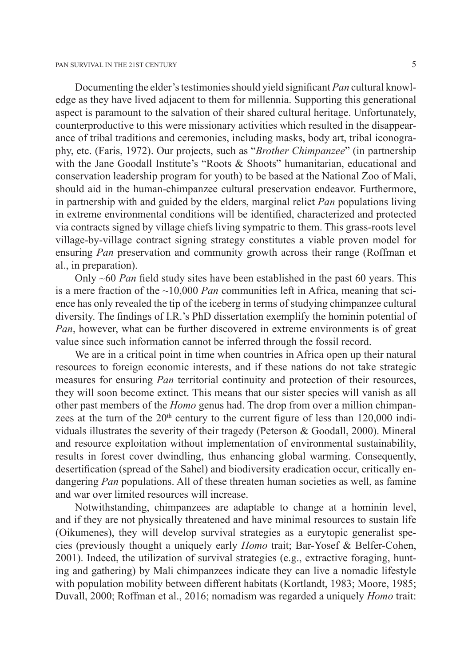Documenting the elder's testimonies should yield significant *Pan* cultural knowledge as they have lived adjacent to them for millennia. Supporting this generational aspect is paramount to the salvation of their shared cultural heritage. Unfortunately, counterproductive to this were missionary activities which resulted in the disappearance of tribal traditions and ceremonies, including masks, body art, tribal iconography, etc. (Faris, 1972). Our projects, such as "*Brother Chimpanzee*" (in partnership with the Jane Goodall Institute's "Roots & Shoots" humanitarian, educational and conservation leadership program for youth) to be based at the National Zoo of Mali, should aid in the human-chimpanzee cultural preservation endeavor. Furthermore, in partnership with and guided by the elders, marginal relict *Pan* populations living in extreme environmental conditions will be identified, characterized and protected via contracts signed by village chiefs living sympatric to them. This grass-roots level village-by-village contract signing strategy constitutes a viable proven model for ensuring *Pan* preservation and community growth across their range (Roffman et al., in preparation).

Only ~60 *Pan* field study sites have been established in the past 60 years. This is a mere fraction of the ~10,000 *Pan* communities left in Africa, meaning that science has only revealed the tip of the iceberg in terms of studying chimpanzee cultural diversity. The findings of I.R.'s PhD dissertation exemplify the hominin potential of *Pan*, however, what can be further discovered in extreme environments is of great value since such information cannot be inferred through the fossil record.

We are in a critical point in time when countries in Africa open up their natural resources to foreign economic interests, and if these nations do not take strategic measures for ensuring *Pan* territorial continuity and protection of their resources, they will soon become extinct. This means that our sister species will vanish as all other past members of the *Homo* genus had. The drop from over a million chimpanzees at the turn of the  $20<sup>th</sup>$  century to the current figure of less than 120,000 individuals illustrates the severity of their tragedy (Peterson & Goodall, 2000). Mineral and resource exploitation without implementation of environmental sustainability, results in forest cover dwindling, thus enhancing global warming. Consequently, desertification (spread of the Sahel) and biodiversity eradication occur, critically endangering *Pan* populations. All of these threaten human societies as well, as famine and war over limited resources will increase.

Notwithstanding, chimpanzees are adaptable to change at a hominin level, and if they are not physically threatened and have minimal resources to sustain life (Oikumenes), they will develop survival strategies as a eurytopic generalist species (previously thought a uniquely early *Homo* trait; Bar-Yosef & Belfer-Cohen, 2001). Indeed, the utilization of survival strategies (e.g., extractive foraging, hunting and gathering) by Mali chimpanzees indicate they can live a nomadic lifestyle with population mobility between different habitats (Kortlandt, 1983; Moore, 1985; Duvall, 2000; Roffman et al., 2016; nomadism was regarded a uniquely *Homo* trait: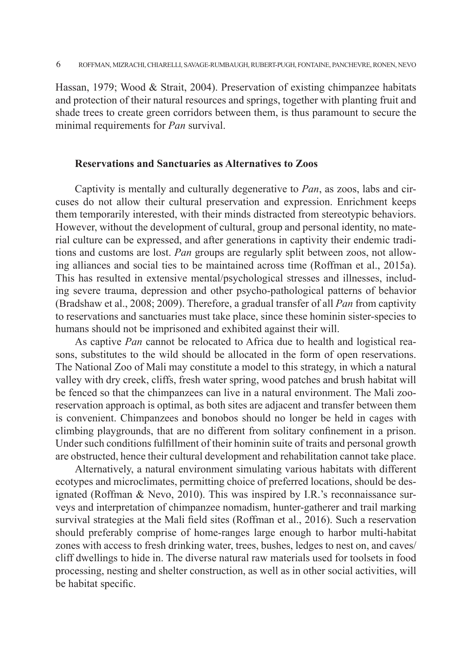Hassan, 1979; Wood & Strait, 2004). Preservation of existing chimpanzee habitats and protection of their natural resources and springs, together with planting fruit and shade trees to create green corridors between them, is thus paramount to secure the minimal requirements for *Pan* survival.

## **Reservations and Sanctuaries as Alternatives to Zoos**

Captivity is mentally and culturally degenerative to *Pan*, as zoos, labs and circuses do not allow their cultural preservation and expression. Enrichment keeps them temporarily interested, with their minds distracted from stereotypic behaviors. However, without the development of cultural, group and personal identity, no material culture can be expressed, and after generations in captivity their endemic traditions and customs are lost. *Pan* groups are regularly split between zoos, not allowing alliances and social ties to be maintained across time (Roffman et al., 2015a). This has resulted in extensive mental/psychological stresses and illnesses, including severe trauma, depression and other psycho-pathological patterns of behavior (Bradshaw et al., 2008; 2009). Therefore, a gradual transfer of all *Pan* from captivity to reservations and sanctuaries must take place, since these hominin sister-species to humans should not be imprisoned and exhibited against their will.

As captive *Pan* cannot be relocated to Africa due to health and logistical reasons, substitutes to the wild should be allocated in the form of open reservations. The National Zoo of Mali may constitute a model to this strategy, in which a natural valley with dry creek, cliffs, fresh water spring, wood patches and brush habitat will be fenced so that the chimpanzees can live in a natural environment. The Mali zooreservation approach is optimal, as both sites are adjacent and transfer between them is convenient. Chimpanzees and bonobos should no longer be held in cages with climbing playgrounds, that are no different from solitary confinement in a prison. Under such conditions fulfillment of their hominin suite of traits and personal growth are obstructed, hence their cultural development and rehabilitation cannot take place.

Alternatively, a natural environment simulating various habitats with different ecotypes and microclimates, permitting choice of preferred locations, should be designated (Roffman & Nevo, 2010). This was inspired by I.R.'s reconnaissance surveys and interpretation of chimpanzee nomadism, hunter-gatherer and trail marking survival strategies at the Mali field sites (Roffman et al., 2016). Such a reservation should preferably comprise of home-ranges large enough to harbor multi-habitat zones with access to fresh drinking water, trees, bushes, ledges to nest on, and caves/ cliff dwellings to hide in. The diverse natural raw materials used for toolsets in food processing, nesting and shelter construction, as well as in other social activities, will be habitat specific.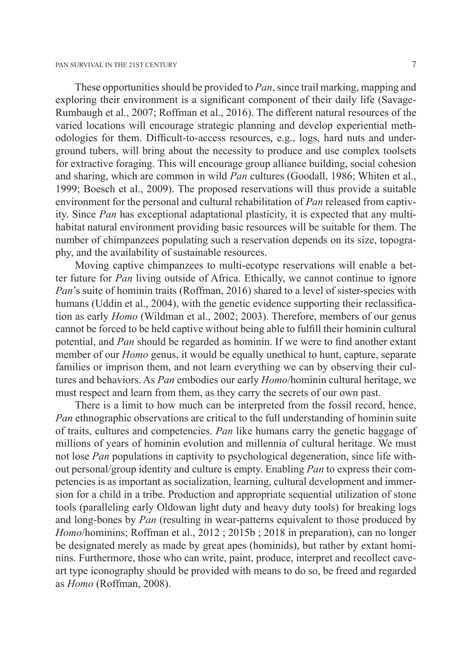These opportunities should be provided to *Pan*, since trail marking, mapping and exploring their environment is a significant component of their daily life (Savage-Rumbaugh et al., 2007; Roffman et al., 2016). The different natural resources of the varied locations will encourage strategic planning and develop experiential methodologies for them. Difficult-to-access resources, e.g., logs, hard nuts and underground tubers, will bring about the necessity to produce and use complex toolsets for extractive foraging. This will encourage group alliance building, social cohesion and sharing, which are common in wild *Pan* cultures (Goodall, 1986; Whiten et al., 1999; Boesch et al., 2009). The proposed reservations will thus provide a suitable environment for the personal and cultural rehabilitation of *Pan* released from captivity. Since *Pan* has exceptional adaptational plasticity, it is expected that any multihabitat natural environment providing basic resources will be suitable for them. The number of chimpanzees populating such a reservation depends on its size, topography, and the availability of sustainable resources.

Moving captive chimpanzees to multi-ecotype reservations will enable a better future for *Pan* living outside of Africa. Ethically, we cannot continue to ignore *Pan*'s suite of hominin traits (Roffman, 2016) shared to a level of sister-species with humans (Uddin et al., 2004), with the genetic evidence supporting their reclassification as early *Homo* (Wildman et al., 2002; 2003). Therefore, members of our genus cannot be forced to be held captive without being able to fulfill their hominin cultural potential, and *Pan* should be regarded as hominin. If we were to find another extant member of our *Homo* genus, it would be equally unethical to hunt, capture, separate families or imprison them, and not learn everything we can by observing their cultures and behaviors. As *Pan* embodies our early *Homo*/hominin cultural heritage, we must respect and learn from them, as they carry the secrets of our own past.

There is a limit to how much can be interpreted from the fossil record, hence, *Pan* ethnographic observations are critical to the full understanding of hominin suite of traits, cultures and competencies. *Pan* like humans carry the genetic baggage of millions of years of hominin evolution and millennia of cultural heritage. We must not lose *Pan* populations in captivity to psychological degeneration, since life without personal/group identity and culture is empty. Enabling *Pan* to express their competencies is as important as socialization, learning, cultural development and immersion for a child in a tribe. Production and appropriate sequential utilization of stone tools (paralleling early Oldowan light duty and heavy duty tools) for breaking logs and long-bones by *Pan* (resulting in wear-patterns equivalent to those produced by *Homo*/hominins; Roffman et al., 2012 ; 2015b ; 2018 in preparation), can no longer be designated merely as made by great apes (hominids), but rather by extant hominins. Furthermore, those who can write, paint, produce, interpret and recollect caveart type iconography should be provided with means to do so, be freed and regarded as *Homo* (Roffman, 2008).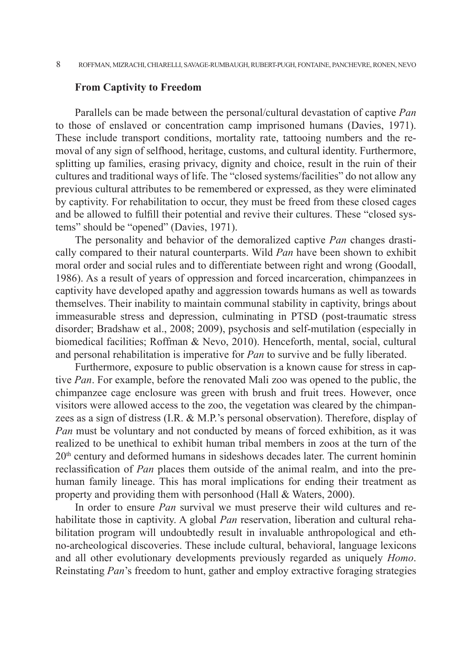#### **From Captivity to Freedom**

Parallels can be made between the personal/cultural devastation of captive *Pan* to those of enslaved or concentration camp imprisoned humans (Davies, 1971). These include transport conditions, mortality rate, tattooing numbers and the removal of any sign of selfhood, heritage, customs, and cultural identity. Furthermore, splitting up families, erasing privacy, dignity and choice, result in the ruin of their cultures and traditional ways of life. The "closed systems/facilities" do not allow any previous cultural attributes to be remembered or expressed, as they were eliminated by captivity. For rehabilitation to occur, they must be freed from these closed cages and be allowed to fulfill their potential and revive their cultures. These "closed systems" should be "opened" (Davies, 1971).

The personality and behavior of the demoralized captive *Pan* changes drastically compared to their natural counterparts. Wild *Pan* have been shown to exhibit moral order and social rules and to differentiate between right and wrong (Goodall, 1986). As a result of years of oppression and forced incarceration, chimpanzees in captivity have developed apathy and aggression towards humans as well as towards themselves. Their inability to maintain communal stability in captivity, brings about immeasurable stress and depression, culminating in PTSD (post-traumatic stress disorder; Bradshaw et al., 2008; 2009), psychosis and self-mutilation (especially in biomedical facilities; Roffman & Nevo, 2010). Henceforth, mental, social, cultural and personal rehabilitation is imperative for *Pan* to survive and be fully liberated.

Furthermore, exposure to public observation is a known cause for stress in captive *Pan*. For example, before the renovated Mali zoo was opened to the public, the chimpanzee cage enclosure was green with brush and fruit trees. However, once visitors were allowed access to the zoo, the vegetation was cleared by the chimpanzees as a sign of distress (I.R. & M.P.'s personal observation). Therefore, display of *Pan* must be voluntary and not conducted by means of forced exhibition, as it was realized to be unethical to exhibit human tribal members in zoos at the turn of the 20th century and deformed humans in sideshows decades later. The current hominin reclassification of *Pan* places them outside of the animal realm, and into the prehuman family lineage. This has moral implications for ending their treatment as property and providing them with personhood (Hall & Waters, 2000).

In order to ensure *Pan* survival we must preserve their wild cultures and rehabilitate those in captivity. A global *Pan* reservation, liberation and cultural rehabilitation program will undoubtedly result in invaluable anthropological and ethno-archeological discoveries. These include cultural, behavioral, language lexicons and all other evolutionary developments previously regarded as uniquely *Homo*. Reinstating *Pan*'s freedom to hunt, gather and employ extractive foraging strategies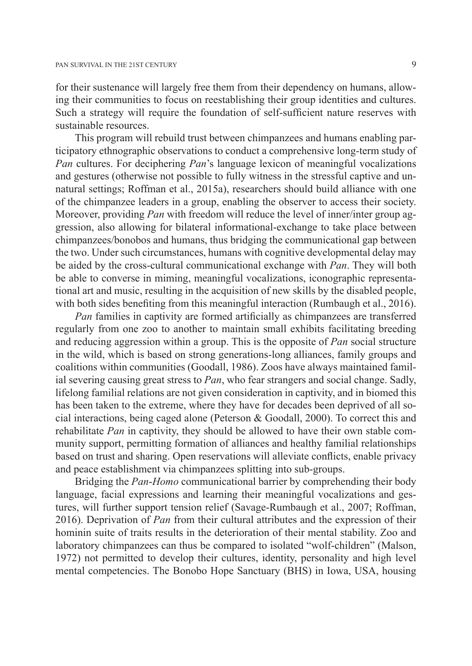for their sustenance will largely free them from their dependency on humans, allowing their communities to focus on reestablishing their group identities and cultures. Such a strategy will require the foundation of self-sufficient nature reserves with sustainable resources.

This program will rebuild trust between chimpanzees and humans enabling participatory ethnographic observations to conduct a comprehensive long-term study of *Pan* cultures. For deciphering *Pan*'s language lexicon of meaningful vocalizations and gestures (otherwise not possible to fully witness in the stressful captive and unnatural settings; Roffman et al., 2015a), researchers should build alliance with one of the chimpanzee leaders in a group, enabling the observer to access their society. Moreover, providing *Pan* with freedom will reduce the level of inner/inter group aggression, also allowing for bilateral informational-exchange to take place between chimpanzees/bonobos and humans, thus bridging the communicational gap between the two. Under such circumstances, humans with cognitive developmental delay may be aided by the cross-cultural communicational exchange with *Pan*. They will both be able to converse in miming, meaningful vocalizations, iconographic representational art and music, resulting in the acquisition of new skills by the disabled people, with both sides benefiting from this meaningful interaction (Rumbaugh et al., 2016).

*Pan* families in captivity are formed artificially as chimpanzees are transferred regularly from one zoo to another to maintain small exhibits facilitating breeding and reducing aggression within a group. This is the opposite of *Pan* social structure in the wild, which is based on strong generations-long alliances, family groups and coalitions within communities (Goodall, 1986). Zoos have always maintained familial severing causing great stress to *Pan*, who fear strangers and social change. Sadly, lifelong familial relations are not given consideration in captivity, and in biomed this has been taken to the extreme, where they have for decades been deprived of all social interactions, being caged alone (Peterson & Goodall, 2000). To correct this and rehabilitate *Pan* in captivity, they should be allowed to have their own stable community support, permitting formation of alliances and healthy familial relationships based on trust and sharing. Open reservations will alleviate conflicts, enable privacy and peace establishment via chimpanzees splitting into sub-groups.

Bridging the *Pan*-*Homo* communicational barrier by comprehending their body language, facial expressions and learning their meaningful vocalizations and gestures, will further support tension relief (Savage-Rumbaugh et al., 2007; Roffman, 2016). Deprivation of *Pan* from their cultural attributes and the expression of their hominin suite of traits results in the deterioration of their mental stability. Zoo and laboratory chimpanzees can thus be compared to isolated "wolf-children" (Malson, 1972) not permitted to develop their cultures, identity, personality and high level mental competencies. The Bonobo Hope Sanctuary (BHS) in Iowa, USA, housing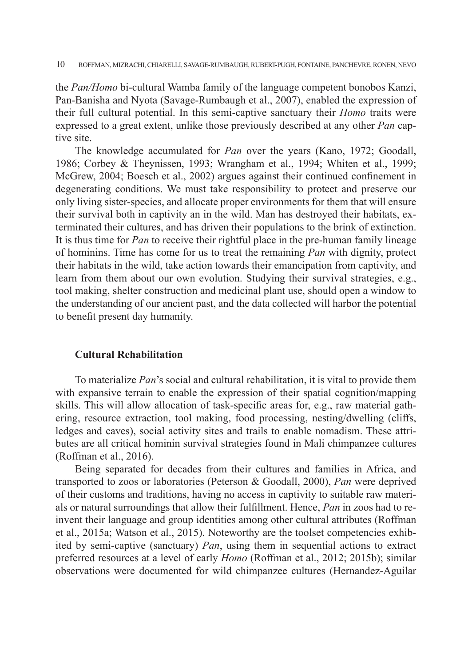the *Pan/Homo* bi-cultural Wamba family of the language competent bonobos Kanzi, Pan-Banisha and Nyota (Savage-Rumbaugh et al., 2007), enabled the expression of their full cultural potential. In this semi-captive sanctuary their *Homo* traits were expressed to a great extent, unlike those previously described at any other *Pan* captive site.

The knowledge accumulated for *Pan* over the years (Kano, 1972; Goodall, 1986; Corbey & Theynissen, 1993; Wrangham et al., 1994; Whiten et al., 1999; McGrew, 2004; Boesch et al., 2002) argues against their continued confinement in degenerating conditions. We must take responsibility to protect and preserve our only living sister-species, and allocate proper environments for them that will ensure their survival both in captivity an in the wild. Man has destroyed their habitats, exterminated their cultures, and has driven their populations to the brink of extinction. It is thus time for *Pan* to receive their rightful place in the pre-human family lineage of hominins. Time has come for us to treat the remaining *Pan* with dignity, protect their habitats in the wild, take action towards their emancipation from captivity, and learn from them about our own evolution. Studying their survival strategies, e.g., tool making, shelter construction and medicinal plant use, should open a window to the understanding of our ancient past, and the data collected will harbor the potential to benefit present day humanity.

## **Cultural Rehabilitation**

To materialize *Pan*'s social and cultural rehabilitation, it is vital to provide them with expansive terrain to enable the expression of their spatial cognition/mapping skills. This will allow allocation of task-specific areas for, e.g., raw material gathering, resource extraction, tool making, food processing, nesting/dwelling (cliffs, ledges and caves), social activity sites and trails to enable nomadism. These attributes are all critical hominin survival strategies found in Mali chimpanzee cultures (Roffman et al., 2016).

Being separated for decades from their cultures and families in Africa, and transported to zoos or laboratories (Peterson & Goodall, 2000), *Pan* were deprived of their customs and traditions, having no access in captivity to suitable raw materials or natural surroundings that allow their fulfillment. Hence, *Pan* in zoos had to reinvent their language and group identities among other cultural attributes (Roffman et al., 2015a; Watson et al., 2015). Noteworthy are the toolset competencies exhibited by semi-captive (sanctuary) *Pan*, using them in sequential actions to extract preferred resources at a level of early *Homo* (Roffman et al., 2012; 2015b); similar observations were documented for wild chimpanzee cultures (Hernandez-Aguilar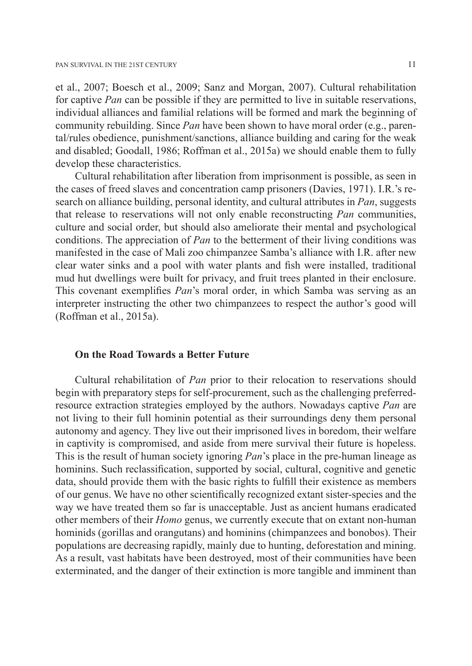et al., 2007; Boesch et al., 2009; Sanz and Morgan, 2007). Cultural rehabilitation for captive *Pan* can be possible if they are permitted to live in suitable reservations, individual alliances and familial relations will be formed and mark the beginning of community rebuilding. Since *Pan* have been shown to have moral order (e.g., parental/rules obedience, punishment/sanctions, alliance building and caring for the weak and disabled; Goodall, 1986; Roffman et al., 2015a) we should enable them to fully develop these characteristics.

Cultural rehabilitation after liberation from imprisonment is possible, as seen in the cases of freed slaves and concentration camp prisoners (Davies, 1971). I.R.'s research on alliance building, personal identity, and cultural attributes in *Pan*, suggests that release to reservations will not only enable reconstructing *Pan* communities, culture and social order, but should also ameliorate their mental and psychological conditions. The appreciation of *Pan* to the betterment of their living conditions was manifested in the case of Mali zoo chimpanzee Samba's alliance with I.R. after new clear water sinks and a pool with water plants and fish were installed, traditional mud hut dwellings were built for privacy, and fruit trees planted in their enclosure. This covenant exemplifies *Pan*'s moral order, in which Samba was serving as an interpreter instructing the other two chimpanzees to respect the author's good will (Roffman et al., 2015a).

#### **On the Road Towards a Better Future**

Cultural rehabilitation of *Pan* prior to their relocation to reservations should begin with preparatory steps for self-procurement, such as the challenging preferredresource extraction strategies employed by the authors. Nowadays captive *Pan* are not living to their full hominin potential as their surroundings deny them personal autonomy and agency. They live out their imprisoned lives in boredom, their welfare in captivity is compromised, and aside from mere survival their future is hopeless. This is the result of human society ignoring *Pan*'s place in the pre-human lineage as hominins. Such reclassification, supported by social, cultural, cognitive and genetic data, should provide them with the basic rights to fulfill their existence as members of our genus. We have no other scientifically recognized extant sister-species and the way we have treated them so far is unacceptable. Just as ancient humans eradicated other members of their *Homo* genus, we currently execute that on extant non-human hominids (gorillas and orangutans) and hominins (chimpanzees and bonobos). Their populations are decreasing rapidly, mainly due to hunting, deforestation and mining. As a result, vast habitats have been destroyed, most of their communities have been exterminated, and the danger of their extinction is more tangible and imminent than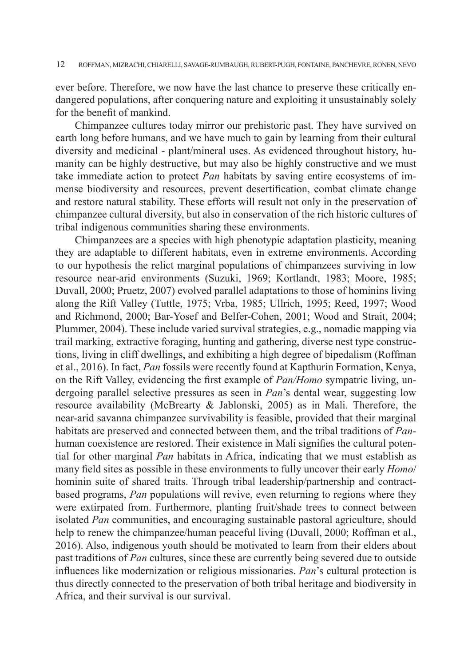ever before. Therefore, we now have the last chance to preserve these critically endangered populations, after conquering nature and exploiting it unsustainably solely for the benefit of mankind.

Chimpanzee cultures today mirror our prehistoric past. They have survived on earth long before humans, and we have much to gain by learning from their cultural diversity and medicinal - plant/mineral uses. As evidenced throughout history, humanity can be highly destructive, but may also be highly constructive and we must take immediate action to protect *Pan* habitats by saving entire ecosystems of immense biodiversity and resources, prevent desertification, combat climate change and restore natural stability. These efforts will result not only in the preservation of chimpanzee cultural diversity, but also in conservation of the rich historic cultures of tribal indigenous communities sharing these environments.

Chimpanzees are a species with high phenotypic adaptation plasticity, meaning they are adaptable to different habitats, even in extreme environments. According to our hypothesis the relict marginal populations of chimpanzees surviving in low resource near-arid environments (Suzuki, 1969; Kortlandt, 1983; Moore, 1985; Duvall, 2000; Pruetz, 2007) evolved parallel adaptations to those of hominins living along the Rift Valley (Tuttle, 1975; Vrba, 1985; Ullrich, 1995; Reed, 1997; Wood and Richmond, 2000; Bar-Yosef and Belfer-Cohen, 2001; Wood and Strait, 2004; Plummer, 2004). These include varied survival strategies, e.g., nomadic mapping via trail marking, extractive foraging, hunting and gathering, diverse nest type constructions, living in cliff dwellings, and exhibiting a high degree of bipedalism (Roffman et al., 2016). In fact, *Pan* fossils were recently found at Kapthurin Formation, Kenya, on the Rift Valley, evidencing the first example of *Pan/Homo* sympatric living, undergoing parallel selective pressures as seen in *Pan*'s dental wear, suggesting low resource availability (McBrearty & Jablonski, 2005) as in Mali. Therefore, the near-arid savanna chimpanzee survivability is feasible, provided that their marginal habitats are preserved and connected between them, and the tribal traditions of *Pan*human coexistence are restored. Their existence in Mali signifies the cultural potential for other marginal *Pan* habitats in Africa, indicating that we must establish as many field sites as possible in these environments to fully uncover their early *Homo*/ hominin suite of shared traits. Through tribal leadership/partnership and contractbased programs, *Pan* populations will revive, even returning to regions where they were extirpated from. Furthermore, planting fruit/shade trees to connect between isolated *Pan* communities, and encouraging sustainable pastoral agriculture, should help to renew the chimpanzee/human peaceful living (Duvall, 2000; Roffman et al., 2016). Also, indigenous youth should be motivated to learn from their elders about past traditions of *Pan* cultures, since these are currently being severed due to outside influences like modernization or religious missionaries. *Pan*'s cultural protection is thus directly connected to the preservation of both tribal heritage and biodiversity in Africa, and their survival is our survival.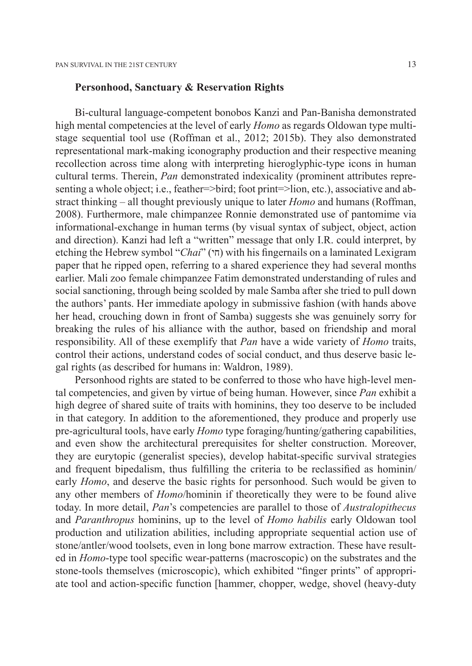#### **Personhood, Sanctuary & Reservation Rights**

Bi-cultural language-competent bonobos Kanzi and Pan-Banisha demonstrated high mental competencies at the level of early *Homo* as regards Oldowan type multistage sequential tool use (Roffman et al., 2012; 2015b). They also demonstrated representational mark-making iconography production and their respective meaning recollection across time along with interpreting hieroglyphic-type icons in human cultural terms. Therein, *Pan* demonstrated indexicality (prominent attributes representing a whole object; i.e., feather=>bird; foot print=>lion, etc.), associative and abstract thinking – all thought previously unique to later *Homo* and humans (Roffman, 2008). Furthermore, male chimpanzee Ronnie demonstrated use of pantomime via informational-exchange in human terms (by visual syntax of subject, object, action and direction). Kanzi had left a "written" message that only I.R. could interpret, by etching the Hebrew symbol "*Chai*" (חי) with his fingernails on a laminated Lexigram paper that he ripped open, referring to a shared experience they had several months earlier. Mali zoo female chimpanzee Fatim demonstrated understanding of rules and social sanctioning, through being scolded by male Samba after she tried to pull down the authors' pants. Her immediate apology in submissive fashion (with hands above her head, crouching down in front of Samba) suggests she was genuinely sorry for breaking the rules of his alliance with the author, based on friendship and moral responsibility. All of these exemplify that *Pan* have a wide variety of *Homo* traits, control their actions, understand codes of social conduct, and thus deserve basic legal rights (as described for humans in: Waldron, 1989).

Personhood rights are stated to be conferred to those who have high-level mental competencies, and given by virtue of being human. However, since *Pan* exhibit a high degree of shared suite of traits with hominins, they too deserve to be included in that category. In addition to the aforementioned, they produce and properly use pre-agricultural tools, have early *Homo* type foraging/hunting/gathering capabilities, and even show the architectural prerequisites for shelter construction. Moreover, they are eurytopic (generalist species), develop habitat-specific survival strategies and frequent bipedalism, thus fulfilling the criteria to be reclassified as hominin/ early *Homo*, and deserve the basic rights for personhood. Such would be given to any other members of *Homo*/hominin if theoretically they were to be found alive today. In more detail, *Pan*'s competencies are parallel to those of *Australopithecus* and *Paranthropus* hominins, up to the level of *Homo habilis* early Oldowan tool production and utilization abilities, including appropriate sequential action use of stone/antler/wood toolsets, even in long bone marrow extraction. These have resulted in *Homo*-type tool specific wear-patterns (macroscopic) on the substrates and the stone-tools themselves (microscopic), which exhibited "finger prints" of appropriate tool and action-specific function [hammer, chopper, wedge, shovel (heavy-duty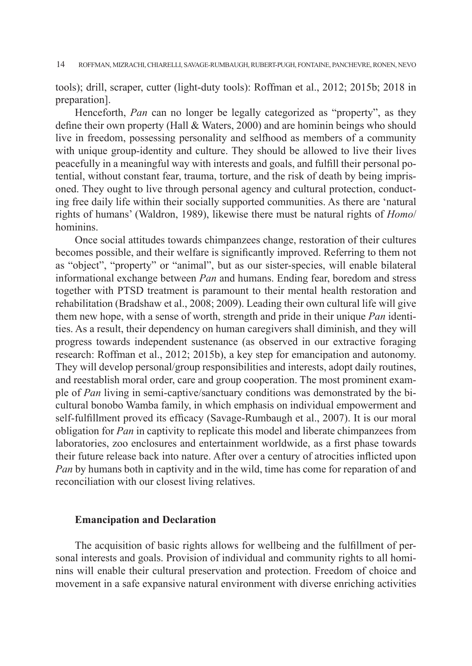tools); drill, scraper, cutter (light-duty tools): Roffman et al., 2012; 2015b; 2018 in preparation].

Henceforth, *Pan* can no longer be legally categorized as "property", as they define their own property (Hall & Waters, 2000) and are hominin beings who should live in freedom, possessing personality and selfhood as members of a community with unique group-identity and culture. They should be allowed to live their lives peacefully in a meaningful way with interests and goals, and fulfill their personal potential, without constant fear, trauma, torture, and the risk of death by being imprisoned. They ought to live through personal agency and cultural protection, conducting free daily life within their socially supported communities. As there are 'natural rights of humans' (Waldron, 1989), likewise there must be natural rights of *Homo*/ hominins.

Once social attitudes towards chimpanzees change, restoration of their cultures becomes possible, and their welfare is significantly improved. Referring to them not as "object", "property" or "animal", but as our sister-species, will enable bilateral informational exchange between *Pan* and humans. Ending fear, boredom and stress together with PTSD treatment is paramount to their mental health restoration and rehabilitation (Bradshaw et al., 2008; 2009). Leading their own cultural life will give them new hope, with a sense of worth, strength and pride in their unique *Pan* identities. As a result, their dependency on human caregivers shall diminish, and they will progress towards independent sustenance (as observed in our extractive foraging research: Roffman et al., 2012; 2015b), a key step for emancipation and autonomy. They will develop personal/group responsibilities and interests, adopt daily routines, and reestablish moral order, care and group cooperation. The most prominent example of *Pan* living in semi-captive/sanctuary conditions was demonstrated by the bicultural bonobo Wamba family, in which emphasis on individual empowerment and self-fulfillment proved its efficacy (Savage-Rumbaugh et al., 2007). It is our moral obligation for *Pan* in captivity to replicate this model and liberate chimpanzees from laboratories, zoo enclosures and entertainment worldwide, as a first phase towards their future release back into nature. After over a century of atrocities inflicted upon *Pan* by humans both in captivity and in the wild, time has come for reparation of and reconciliation with our closest living relatives.

#### **Emancipation and Declaration**

The acquisition of basic rights allows for wellbeing and the fulfillment of personal interests and goals. Provision of individual and community rights to all hominins will enable their cultural preservation and protection. Freedom of choice and movement in a safe expansive natural environment with diverse enriching activities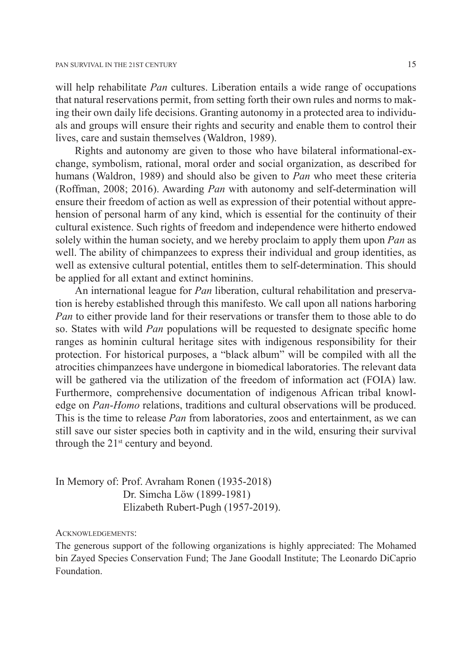will help rehabilitate *Pan* cultures. Liberation entails a wide range of occupations that natural reservations permit, from setting forth their own rules and norms to making their own daily life decisions. Granting autonomy in a protected area to individuals and groups will ensure their rights and security and enable them to control their lives, care and sustain themselves (Waldron, 1989).

Rights and autonomy are given to those who have bilateral informational-exchange, symbolism, rational, moral order and social organization, as described for humans (Waldron, 1989) and should also be given to *Pan* who meet these criteria (Roffman, 2008; 2016). Awarding *Pan* with autonomy and self-determination will ensure their freedom of action as well as expression of their potential without apprehension of personal harm of any kind, which is essential for the continuity of their cultural existence. Such rights of freedom and independence were hitherto endowed solely within the human society, and we hereby proclaim to apply them upon *Pan* as well. The ability of chimpanzees to express their individual and group identities, as well as extensive cultural potential, entitles them to self-determination. This should be applied for all extant and extinct hominins.

An international league for *Pan* liberation, cultural rehabilitation and preservation is hereby established through this manifesto. We call upon all nations harboring *Pan* to either provide land for their reservations or transfer them to those able to do so. States with wild *Pan* populations will be requested to designate specific home ranges as hominin cultural heritage sites with indigenous responsibility for their protection. For historical purposes, a "black album" will be compiled with all the atrocities chimpanzees have undergone in biomedical laboratories. The relevant data will be gathered via the utilization of the freedom of information act (FOIA) law. Furthermore, comprehensive documentation of indigenous African tribal knowledge on *Pan*-*Homo* relations, traditions and cultural observations will be produced. This is the time to release *Pan* from laboratories, zoos and entertainment, as we can still save our sister species both in captivity and in the wild, ensuring their survival through the  $21^{st}$  century and beyond.

In Memory of: Prof. Avraham Ronen (1935-2018) Dr. Simcha Löw (1899-1981) Elizabeth Rubert-Pugh (1957-2019).

Acknowledgements:

The generous support of the following organizations is highly appreciated: The Mohamed bin Zayed Species Conservation Fund; The Jane Goodall Institute; The Leonardo DiCaprio Foundation.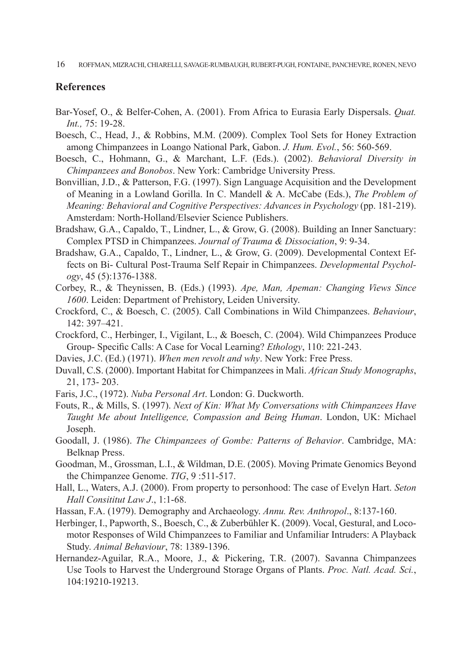#### **References**

- Bar-Yosef, O., & Belfer-Cohen, A. (2001). From Africa to Eurasia Early Dispersals. *Quat. Int.,* 75: 19-28.
- Boesch, C., Head, J., & Robbins, M.M. (2009). Complex Tool Sets for Honey Extraction among Chimpanzees in Loango National Park, Gabon. *J. Hum. Evol.*, 56: 560-569.
- Boesch, C., Hohmann, G., & Marchant, L.F. (Eds.). (2002). *Behavioral Diversity in Chimpanzees and Bonobos*. New York: Cambridge University Press.
- Bonvillian, J.D., & Patterson, F.G. (1997). Sign Language Acquisition and the Development of Meaning in a Lowland Gorilla. In C. Mandell & A. McCabe (Eds.), *The Problem of Meaning: Behavioral and Cognitive Perspectives: Advances in Psychology* (pp. 181-219). Amsterdam: North-Holland/Elsevier Science Publishers.
- Bradshaw, G.A., Capaldo, T., Lindner, L., & Grow, G. (2008). Building an Inner Sanctuary: Complex PTSD in Chimpanzees. *Journal of Trauma & Dissociation*, 9: 9-34.
- Bradshaw, G.A., Capaldo, T., Lindner, L., & Grow, G. (2009). Developmental Context Effects on Bi- Cultural Post-Trauma Self Repair in Chimpanzees. *Developmental Psychology*, 45 (5):1376-1388.
- Corbey, R., & Theynissen, B. (Eds.) (1993). *Ape, Man, Apeman: Changing Views Since 1600*. Leiden: Department of Prehistory, Leiden University.
- Crockford, C., & Boesch, C. (2005). Call Combinations in Wild Chimpanzees. *Behaviour*, 142: 397–421.
- Crockford, C., Herbinger, I., Vigilant, L., & Boesch, C. (2004). Wild Chimpanzees Produce Group- Specific Calls: A Case for Vocal Learning? *Ethology*, 110: 221-243.
- Davies, J.C. (Ed.) (1971). *When men revolt and why*. New York: Free Press.
- Duvall, C.S. (2000). Important Habitat for Chimpanzees in Mali. *African Study Monographs*, 21, 173- 203.
- Faris, J.C., (1972). *Nuba Personal Art*. London: G. Duckworth.
- Fouts, R., & Mills, S. (1997). *Next of Kin: What My Conversations with Chimpanzees Have Taught Me about Intelligence, Compassion and Being Human*. London, UK: Michael Joseph.
- Goodall, J. (1986). *The Chimpanzees of Gombe: Patterns of Behavior*. Cambridge, MA: Belknap Press.
- Goodman, M., Grossman, L.I., & Wildman, D.E. (2005). Moving Primate Genomics Beyond the Chimpanzee Genome. *TIG*, 9 :511-517.
- Hall, L., Waters, A.J. (2000). From property to personhood: The case of Evelyn Hart. *Seton Hall Consititut Law J*., 1:1-68.
- Hassan, F.A. (1979). Demography and Archaeology. *Annu. Rev. Anthropol*., 8:137-160.
- Herbinger, I., Papworth, S., Boesch, C., & Zuberbühler K. (2009). Vocal, Gestural, and Locomotor Responses of Wild Chimpanzees to Familiar and Unfamiliar Intruders: A Playback Study. *Animal Behaviour*, 78: 1389-1396.
- Hernandez-Aguilar, R.A., Moore, J., & Pickering, T.R. (2007). Savanna Chimpanzees Use Tools to Harvest the Underground Storage Organs of Plants. *Proc. Natl. Acad. Sci.*, 104:19210-19213.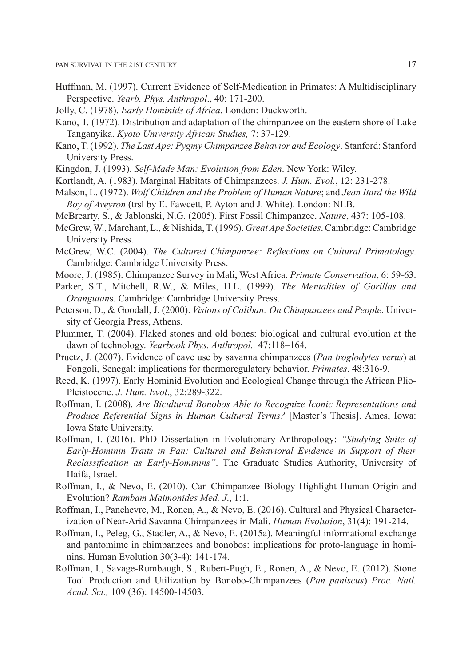- Huffman, M. (1997). Current Evidence of Self-Medication in Primates: A Multidisciplinary Perspective. *Yearb. Phys. Anthropol*., 40: 171-200.
- Jolly, C. (1978). *Early Hominids of Africa*. London: Duckworth.
- Kano, T. (1972). Distribution and adaptation of the chimpanzee on the eastern shore of Lake Tanganyika. *Kyoto University African Studies,* 7: 37-129.
- Kano, T. (1992). *The Last Ape: Pygmy Chimpanzee Behavior and Ecology*. Stanford: Stanford University Press.
- Kingdon, J. (1993). *Self-Made Man: Evolution from Eden*. New York: Wiley.
- Kortlandt, A. (1983). Marginal Habitats of Chimpanzees. *J. Hum. Evol.*, 12: 231-278.
- Malson, L. (1972). *Wolf Children and the Problem of Human Nature*; and *Jean Itard the Wild Boy of Aveyron* (trsl by E. Fawcett, P. Ayton and J. White). London: NLB.
- McBrearty, S., & Jablonski, N.G. (2005). First Fossil Chimpanzee. *Nature*, 437: 105-108.
- McGrew, W., Marchant, L., & Nishida, T. (1996). *Great Ape Societies*. Cambridge: Cambridge University Press.
- McGrew, W.C. (2004). *The Cultured Chimpanzee: Reflections on Cultural Primatology*. Cambridge: Cambridge University Press.
- Moore, J. (1985). Chimpanzee Survey in Mali, West Africa. *Primate Conservation*, 6: 59-63.
- Parker, S.T., Mitchell, R.W., & Miles, H.L. (1999). *The Mentalities of Gorillas and Orangutan*s. Cambridge: Cambridge University Press.
- Peterson, D., & Goodall, J. (2000). *Visions of Caliban: On Chimpanzees and People*. University of Georgia Press, Athens.
- Plummer, T. (2004). Flaked stones and old bones: biological and cultural evolution at the dawn of technology. *Yearbook Phys. Anthropol.,* 47:118–164.
- Pruetz, J. (2007). Evidence of cave use by savanna chimpanzees (*Pan troglodytes verus*) at Fongoli, Senegal: implications for thermoregulatory behavior. *Primates*. 48:316-9.
- Reed, K. (1997). Early Hominid Evolution and Ecological Change through the African Plio-Pleistocene. *J. Hum. Evol*., 32:289-322.
- Roffman, I. (2008). *Are Bicultural Bonobos Able to Recognize Iconic Representations and Produce Referential Signs in Human Cultural Terms?* [Master's Thesis]. Ames, Iowa: Iowa State University.
- Roffman, I. (2016). PhD Dissertation in Evolutionary Anthropology: *"Studying Suite of Early-Hominin Traits in Pan: Cultural and Behavioral Evidence in Support of their Reclassification as Early-Hominins"*. The Graduate Studies Authority, University of Haifa, Israel.
- Roffman, I., & Nevo, E. (2010). Can Chimpanzee Biology Highlight Human Origin and Evolution? *Rambam Maimonides Med. J*., 1:1.
- Roffman, I., Panchevre, M., Ronen, A., & Nevo, E. (2016). Cultural and Physical Characterization of Near-Arid Savanna Chimpanzees in Mali. *Human Evolution*, 31(4): 191-214.
- Roffman, I., Peleg, G., Stadler, A., & Nevo, E. (2015a). Meaningful informational exchange and pantomime in chimpanzees and bonobos: implications for proto-language in hominins. Human Evolution 30(3-4): 141-174.
- Roffman, I., Savage-Rumbaugh, S., Rubert-Pugh, E., Ronen, A., & Nevo, E. (2012). Stone Tool Production and Utilization by Bonobo-Chimpanzees (*Pan paniscus*) *Proc. Natl. Acad. Sci.,* 109 (36): 14500-14503.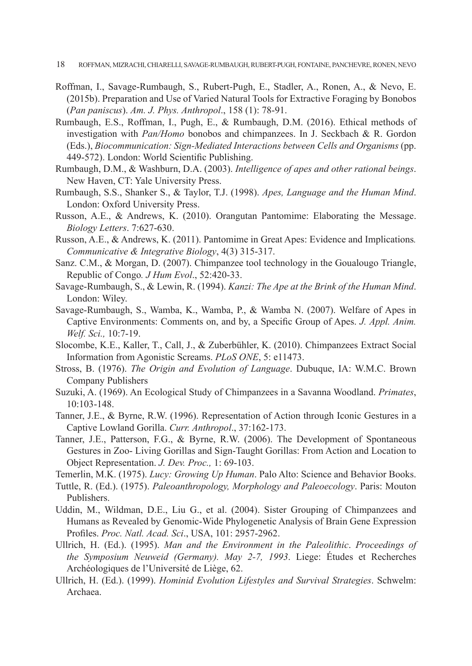- 18 ROFFMAN, MIZRACHI, CHIARELLI, SAVAGE-RUMBAUGH, RUBERT-PUGH, FONTAINE, PANCHEVRE, RONEN, NEVO
- Roffman, I., Savage-Rumbaugh, S., Rubert-Pugh, E., Stadler, A., Ronen, A., & Nevo, E. (2015b). Preparation and Use of Varied Natural Tools for Extractive Foraging by Bonobos (*Pan paniscus*). *Am. J. Phys. Anthropol*., 158 (1): 78-91.
- Rumbaugh, E.S., Roffman, I., Pugh, E., & Rumbaugh, D.M. (2016). Ethical methods of investigation with *Pan/Homo* bonobos and chimpanzees. In J. Seckbach & R. Gordon (Eds.), *Biocommunication: Sign-Mediated Interactions between Cells and Organisms* (pp. 449-572). London: World Scientific Publishing.
- Rumbaugh, D.M., & Washburn, D.A. (2003). *Intelligence of apes and other rational beings*. New Haven, CT: Yale University Press.
- Rumbaugh, S.S., Shanker S., & Taylor, T.J. (1998). *Apes, Language and the Human Mind*. London: Oxford University Press.
- Russon, A.E., & Andrews, K. (2010). Orangutan Pantomime: Elaborating the Message. *Biology Letters*. 7:627-630.
- Russon, A.E., & Andrews, K. (2011). Pantomime in Great Apes: Evidence and Implications*. Communicative & Integrative Biology*, 4(3) 315-317.
- Sanz. C.M., & Morgan, D. (2007). Chimpanzee tool technology in the Goualougo Triangle, Republic of Congo*. J Hum Evol*., 52:420-33.
- Savage-Rumbaugh, S., & Lewin, R. (1994). *Kanzi: The Ape at the Brink of the Human Mind*. London: Wiley.
- Savage-Rumbaugh, S., Wamba, K., Wamba, P., & Wamba N. (2007). Welfare of Apes in Captive Environments: Comments on, and by, a Specific Group of Apes. *J. Appl. Anim. Welf. Sci.,* 10:7-19.
- Slocombe, K.E., Kaller, T., Call, J., & Zuberbühler, K. (2010). Chimpanzees Extract Social Information from Agonistic Screams. *PLoS ONE*, 5: e11473.
- Stross, B. (1976). *The Origin and Evolution of Language*. Dubuque, IA: W.M.C. Brown Company Publishers
- Suzuki, A. (1969). An Ecological Study of Chimpanzees in a Savanna Woodland. *Primates*, 10:103-148.
- Tanner, J.E., & Byrne, R.W. (1996). Representation of Action through Iconic Gestures in a Captive Lowland Gorilla. *Curr. Anthropol*., 37:162-173.
- Tanner, J.E., Patterson, F.G., & Byrne, R.W. (2006). The Development of Spontaneous Gestures in Zoo- Living Gorillas and Sign-Taught Gorillas: From Action and Location to Object Representation. *J. Dev. Proc.,* 1: 69-103.
- Temerlin, M.K. (1975). *Lucy: Growing Up Human*. Palo Alto: Science and Behavior Books.
- Tuttle, R. (Ed.). (1975). *Paleoanthropology, Morphology and Paleoecology*. Paris: Mouton Publishers.
- Uddin, M., Wildman, D.E., Liu G., et al. (2004). Sister Grouping of Chimpanzees and Humans as Revealed by Genomic-Wide Phylogenetic Analysis of Brain Gene Expression Profiles. *Proc. Natl. Acad. Sci*., USA, 101: 2957-2962.
- Ullrich, H. (Ed.). (1995). *Man and the Environment in the Paleolithic*. *Proceedings of the Symposium Neuweid (Germany). May 2-7, 1993*. Liege: Études et Recherches Archéologiques de l'Université de Liège, 62.
- Ullrich, H. (Ed.). (1999). *Hominid Evolution Lifestyles and Survival Strategies*. Schwelm: Archaea.